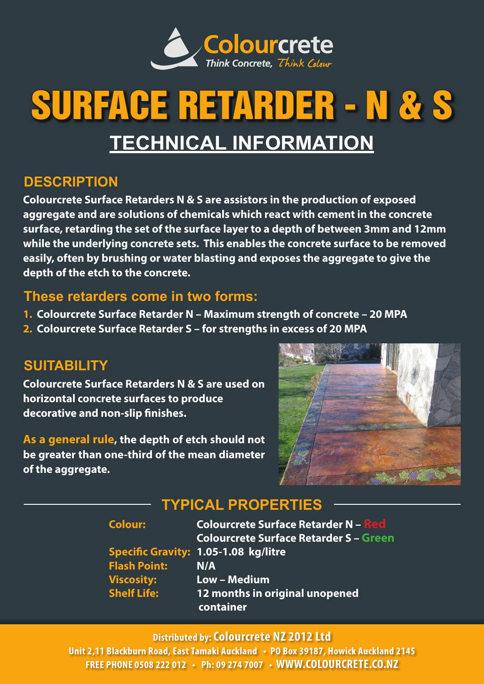

# SURFACE RETARDER - N & S **TECHNICAL INFORMATION**

## **DESCRIPTION**

**Colourcrete Surface Retarders N & S are assistors in the production of exposed aggregate and are solutions of chemicals which react with cement in the concrete surface, retarding the set of the surface layer to a depth of between 3mm and 12mm while the underlying concrete sets. This enables the concrete surface to be removed easily, often by brushing or water blasting and exposes the aggregate to give the depth of the etch to the concrete.**

#### **These retarders come in two forms:**

- **1. Colourcrete Surface Retarder N Maximum strength of concrete 20 MPA**
- **2. Colourcrete Surface Retarder S for strengths in excess of 20 MPA**

## **SUITABILITY**

**Colourcrete Surface Retarders N & S are used on horizontal concrete surfaces to produce decorative and non-slip finishes.**

**As a general rule, the depth of etch should not be greater than one-third of the mean diameter of the aggregate.**



# **TYPICAL PROPERTIES**

| <b>Colour:</b>      | <b>Colourcrete Surface Retarder N - Red</b>   |
|---------------------|-----------------------------------------------|
|                     | <b>Colourcrete Surface Retarder S - Green</b> |
|                     | <b>Specific Gravity: 1.05-1.08 kg/litre</b>   |
| <b>Flash Point:</b> | N/A                                           |
| <b>Viscosity:</b>   | Low - Medium                                  |
| <b>Shelf Life:</b>  | 12 months in original unopened<br>container   |
|                     |                                               |

#### **Distributed by: Colourcrete NZ 2012 Ltd**

**Unit 2,11 Blackburn Road, East Tamaki Auckland • PO Box 39187, Howick Auckland 2145 FREE PHONE 0508 222 012 • Ph: 09 274 7007 • WWW.COLOURCRETE.CO.NZ**